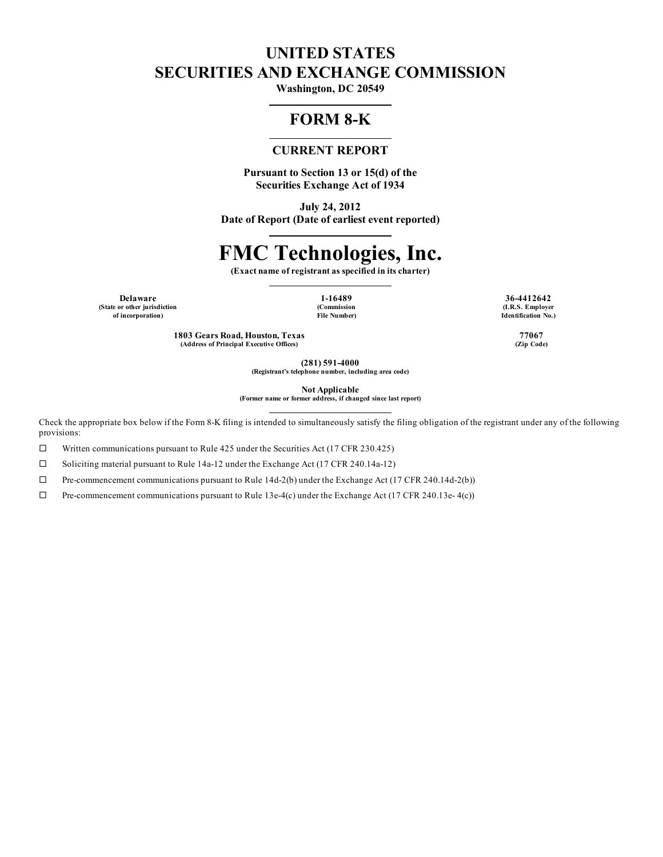# **UNITED STATES SECURITIES AND EXCHANGE COMMISSION**

**Washington, DC 20549**

## **FORM 8-K**

## **CURRENT REPORT**

**Pursuant to Section 13 or 15(d) of the Securities Exchange Act of 1934**

**July 24, 2012 Date of Report (Date of earliest event reported)**

# **FMC Technologies, Inc.**

**(Exact name of registrant as specified in its charter)**

**(State or other jurisdiction of incorporation)**

**(Commission File Number)**

**Delaware 1-16489 36-4412642 (I.R.S. Employer Identification No.)**

> **1803 Gears Road, Houston, Texas 77067 (Address of Principal Executive Offices) (Zip Code)**

> > **(281) 591-4000**

**(Registrant's telephone number, including area code)**

**Not Applicable (Former name or former address, if changed since last report)**

Check the appropriate box below if the Form 8-K filing is intended to simultaneously satisfy the filing obligation of the registrant under any of the following provisions:

 $\Box$  Written communications pursuant to Rule 425 under the Securities Act (17 CFR 230.425)

□ Soliciting material pursuant to Rule 14a-12 under the Exchange Act (17 CFR 240.14a-12)

 $\Box$  Pre-commencement communications pursuant to Rule 14d-2(b) under the Exchange Act (17 CFR 240.14d-2(b))

 $\Box$  Pre-commencement communications pursuant to Rule 13e-4(c) under the Exchange Act (17 CFR 240.13e- 4(c))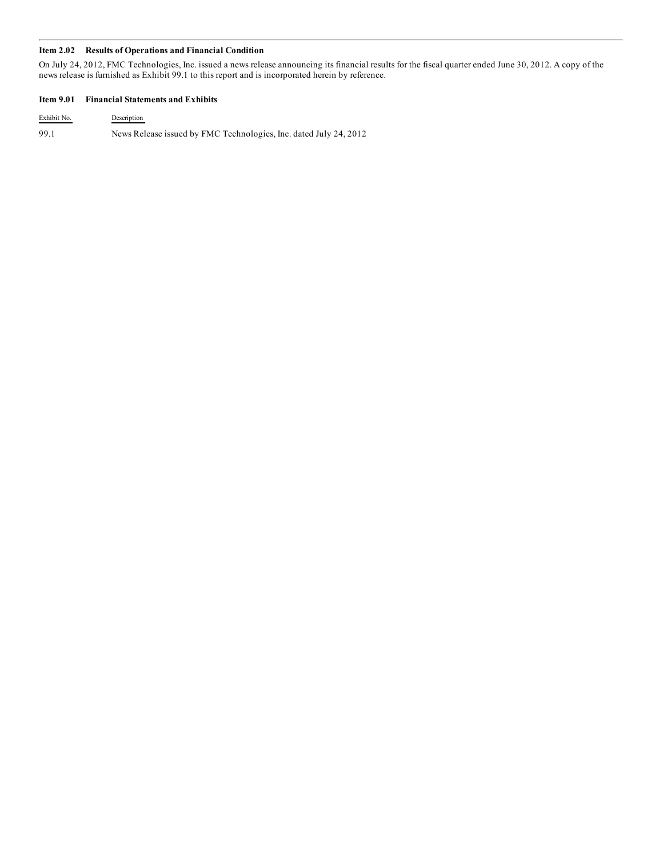#### **Item 2.02 Results of Operations and Financial Condition**

On July 24, 2012, FMC Technologies, Inc. issued a news release announcing its financial results for the fiscal quarter ended June 30, 2012. A copy of the news release is furnished as Exhibit 99.1 to this report and is incorporated herein by reference.

#### **Item 9.01 Financial Statements and Exhibits**

Exhibit No. Description 99.1 News Release issued by FMC Technologies, Inc. dated July 24, 2012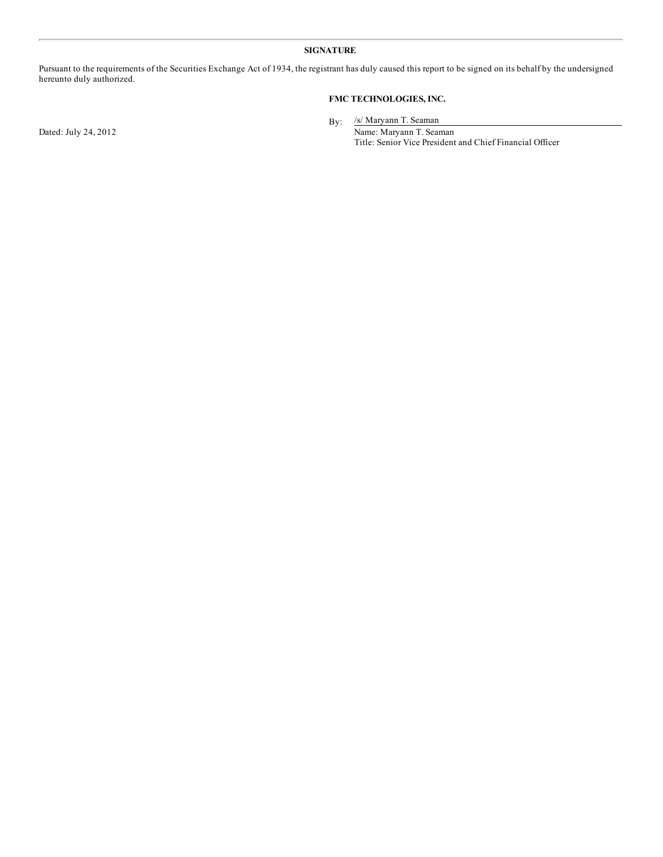#### **SIGNATURE**

Pursuant to the requirements of the Securities Exchange Act of 1934, the registrant has duly caused this report to be signed on its behalf by the undersigned hereunto duly authorized.

### **FMC TECHNOLOGIES, INC.**

By: /s/ Maryann T. Seaman

Dated: July 24, 2012 Name: Maryann T. Seaman Title: Senior Vice President and Chief Financial Officer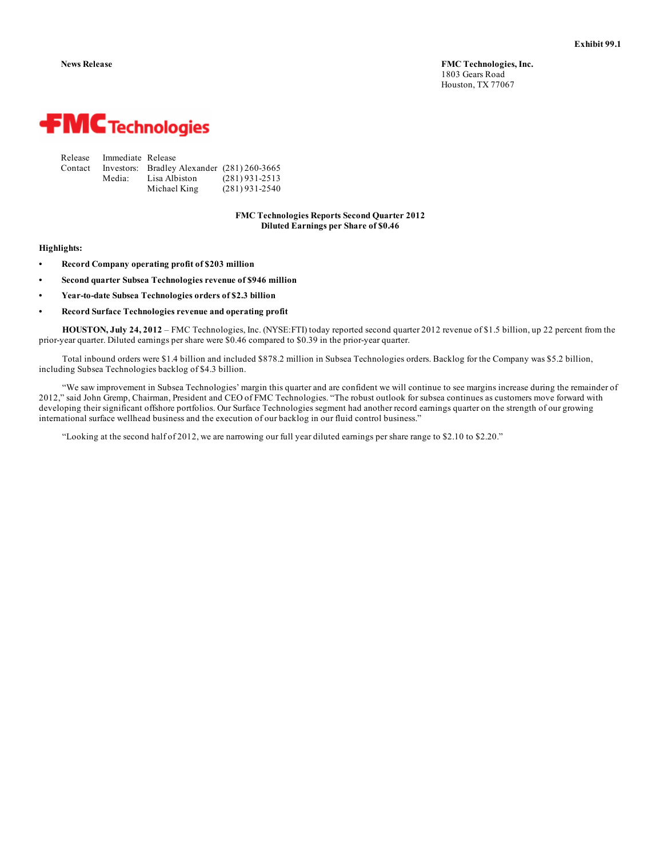

| Release | Immediate Release |                                             |                  |
|---------|-------------------|---------------------------------------------|------------------|
| Contact |                   | Investors: Bradley Alexander (281) 260-3665 |                  |
|         | Media:            | Lisa Albiston                               | $(281)$ 931-2513 |
|         |                   | Michael King                                | $(281)$ 931-2540 |

**FMC Technologies Reports Second Quarter 2012 Diluted Earnings per Share of \$0.46**

#### **Highlights:**

- **• Record Company operating profit of \$203 million**
- **• Second quarter Subsea Technologies revenue of \$946 million**
- **• Year-to-date Subsea Technologies orders of \$2.3 billion**
- **• Record Surface Technologies revenue and operating profit**

**HOUSTON, July 24, 2012** – FMC Technologies, Inc. (NYSE:FTI) today reported second quarter 2012 revenue of \$1.5 billion, up 22 percent from the prior-year quarter. Diluted earnings per share were \$0.46 compared to \$0.39 in the prior-year quarter.

Total inbound orders were \$1.4 billion and included \$878.2 million in Subsea Technologies orders. Backlog for the Company was \$5.2 billion, including Subsea Technologies backlog of \$4.3 billion.

"We saw improvement in Subsea Technologies' margin this quarter and are confident we will continue to see margins increase during the remainder of 2012," said John Gremp, Chairman, President and CEO of FMC Technologies. "The robust outlook for subsea continues as customers move forward with developing their significant offshore portfolios. Our Surface Technologies segment had another record earnings quarter on the strength of our growing international surface wellhead business and the execution of our backlog in our fluid control business."

"Looking at the second half of 2012, we are narrowing our full year diluted earnings per share range to \$2.10 to \$2.20."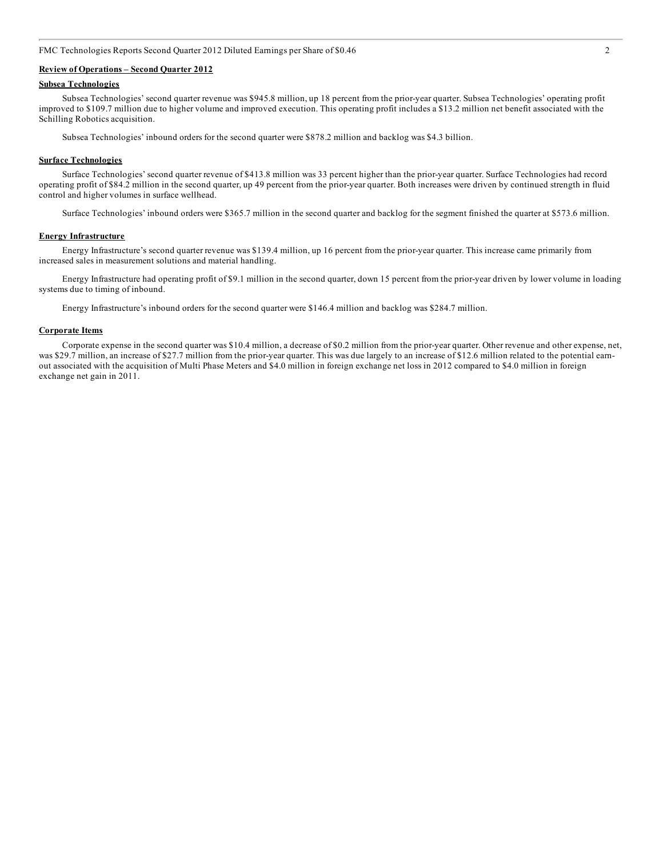FMC Technologies Reports Second Quarter 2012 Diluted Earnings per Share of \$0.46 2

#### **Review of Operations – Second Quarter 2012**

#### **Subsea Technologies**

Subsea Technologies' second quarter revenue was \$945.8 million, up 18 percent from the prior-year quarter. Subsea Technologies' operating profit improved to \$109.7 million due to higher volume and improved execution. This operating profit includes a \$13.2 million net benefit associated with the Schilling Robotics acquisition.

Subsea Technologies' inbound orders for the second quarter were \$878.2 million and backlog was \$4.3 billion.

#### **Surface Technologies**

Surface Technologies' second quarter revenue of \$413.8 million was 33 percent higher than the prior-year quarter. Surface Technologies had record operating profit of \$84.2 million in the second quarter, up 49 percent from the prior-year quarter. Both increases were driven by continued strength in fluid control and higher volumes in surface wellhead.

Surface Technologies' inbound orders were \$365.7 million in the second quarter and backlog for the segment finished the quarter at \$573.6 million.

#### **Energy Infrastructure**

Energy Infrastructure's second quarter revenue was \$139.4 million, up 16 percent from the prior-year quarter. This increase came primarily from increased sales in measurement solutions and material handling.

Energy Infrastructure had operating profit of \$9.1 million in the second quarter, down 15 percent from the prior-year driven by lower volume in loading systems due to timing of inbound.

Energy Infrastructure's inbound orders for the second quarter were \$146.4 million and backlog was \$284.7 million.

#### **Corporate Items**

Corporate expense in the second quarter was \$10.4 million, a decrease of \$0.2 million from the prior-year quarter. Other revenue and other expense, net, was \$29.7 million, an increase of \$27.7 million from the prior-year quarter. This was due largely to an increase of \$12.6 million related to the potential earnout associated with the acquisition of Multi Phase Meters and \$4.0 million in foreign exchange net loss in 2012 compared to \$4.0 million in foreign exchange net gain in 2011.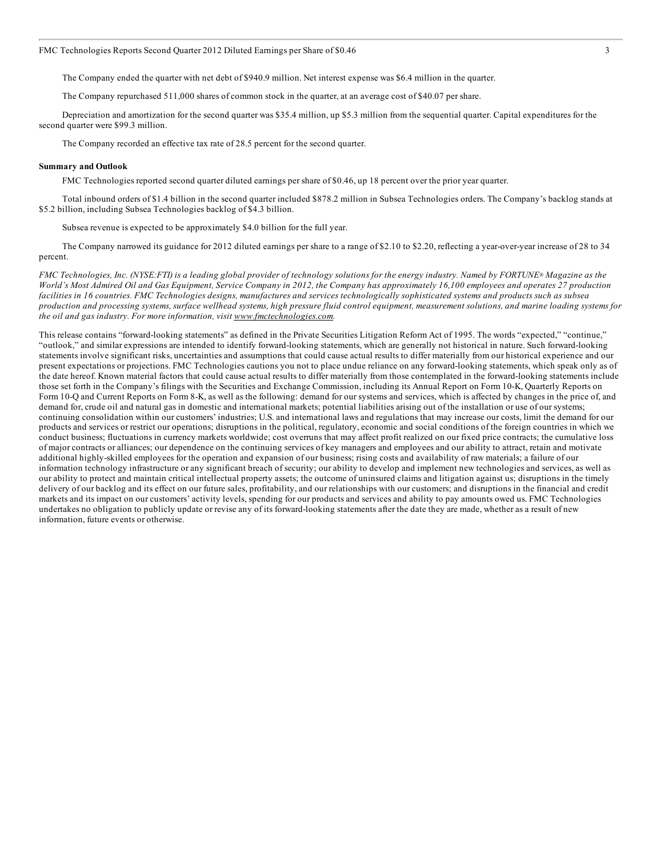The Company ended the quarter with net debt of \$940.9 million. Net interest expense was \$6.4 million in the quarter.

The Company repurchased 511,000 shares of common stock in the quarter, at an average cost of \$40.07 per share.

Depreciation and amortization for the second quarter was \$35.4 million, up \$5.3 million from the sequential quarter. Capital expenditures for the second quarter were \$99.3 million.

The Company recorded an effective tax rate of 28.5 percent for the second quarter.

#### **Summary and Outlook**

FMC Technologies reported second quarter diluted earnings per share of \$0.46, up 18 percent over the prior year quarter.

Total inbound orders of \$1.4 billion in the second quarter included \$878.2 million in Subsea Technologies orders. The Company's backlog stands at \$5.2 billion, including Subsea Technologies backlog of \$4.3 billion.

Subsea revenue is expected to be approximately \$4.0 billion for the full year.

The Company narrowed its guidance for 2012 diluted earnings per share to a range of \$2.10 to \$2.20, reflecting a year-over-year increase of 28 to 34 percent.

FMC Technologies, Inc. (NYSE:FTI) is a leading global provider of technology solutions for the energy industry. Named by FORTUNE® Magazine as the World's Most Admired Oil and Gas Equipment, Service Company in 2012, the Company has approximately 16,100 employees and operates 27 production facilities in 16 countries. FMC Technologies designs, manufactures and services technologically sophisticated systems and products such as subsea production and processing systems, surface wellhead systems, high pressure fluid control equipment, measurement solutions, and marine loading systems for *the oil and gas industry. For more information, visit www.fmctechnologies.com.*

This release contains "forward-looking statements" as defined in the Private Securities Litigation Reform Act of 1995. The words "expected," "continue," "outlook," and similar expressions are intended to identify forward-looking statements, which are generally not historical in nature. Such forward-looking statements involve significant risks, uncertainties and assumptions that could cause actual results to differ materially from our historical experience and our present expectations or projections. FMC Technologies cautions you not to place undue reliance on any forward-looking statements, which speak only as of the date hereof. Known material factors that could cause actual results to differ materially from those contemplated in the forward-looking statements include those set forth in the Company's filings with the Securities and Exchange Commission, including its Annual Report on Form 10-K, Quarterly Reports on Form 10-Q and Current Reports on Form 8-K, as well as the following: demand for our systems and services, which is affected by changes in the price of, and demand for, crude oil and natural gas in domestic and international markets; potential liabilities arising out of the installation or use of our systems; continuing consolidation within our customers' industries; U.S. and international laws and regulations that may increase our costs, limit the demand for our products and services or restrict our operations; disruptions in the political, regulatory, economic and social conditions of the foreign countries in which we conduct business; fluctuations in currency markets worldwide; cost overruns that may affect profit realized on our fixed price contracts; the cumulative loss of major contracts or alliances; our dependence on the continuing services of key managers and employees and our ability to attract, retain and motivate additional highly-skilled employees for the operation and expansion of our business; rising costs and availability of raw materials; a failure of our information technology infrastructure or any significant breach of security; our ability to develop and implement new technologies and services, as well as our ability to protect and maintain critical intellectual property assets; the outcome of uninsured claims and litigation against us; disruptions in the timely delivery of our backlog and its effect on our future sales, profitability, and our relationships with our customers; and disruptions in the financial and credit markets and its impact on our customers' activity levels, spending for our products and services and ability to pay amounts owed us. FMC Technologies undertakes no obligation to publicly update or revise any of its forward-looking statements after the date they are made, whether as a result of new information, future events or otherwise.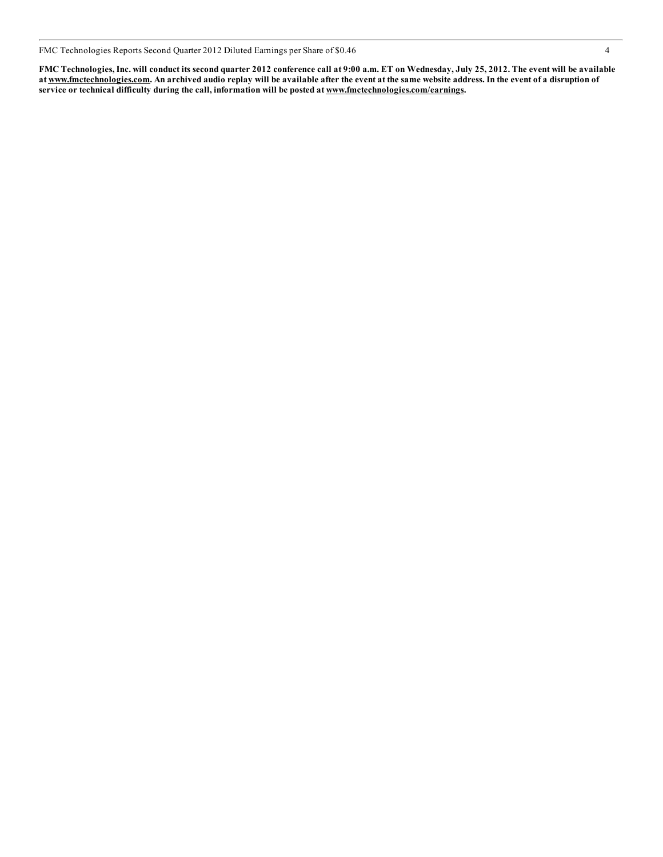FMC Technologies Reports Second Quarter 2012 Diluted Earnings per Share of \$0.46 4

FMC Technologies, Inc. will conduct its second quarter 2012 conference call at 9:00 a.m. ET on Wednesday, July 25, 2012. The event will be available at www.fmctechnologies.com. An archived audio replay will be available after the event at the same website address. In the event of a disruption of **service or technical difficulty during the call, information will be posted at www.fmctechnologies.com/earnings.**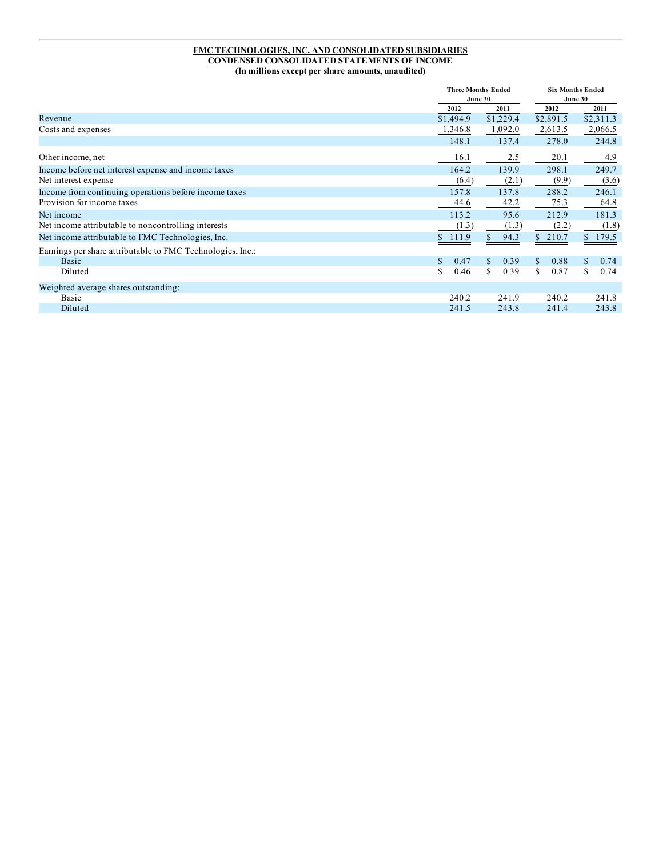#### **FMC TECHNOLOGIES, INC. AND CONSOLIDATED SUBSIDIARIES CONDENSED CONSOLIDATED STATEMENTS OF INCOME (In millions except per share amounts, unaudited)**

|                                                            |            | <b>Three Months Ended</b><br>June 30 |            | <b>Six Months Ended</b><br>June 30 |  |
|------------------------------------------------------------|------------|--------------------------------------|------------|------------------------------------|--|
|                                                            | 2012       | 2011                                 | 2012       | 2011                               |  |
| Revenue                                                    | \$1,494.9  | \$1,229.4                            | \$2,891.5  | \$2,311.3                          |  |
| Costs and expenses                                         | 1,346.8    | 1,092.0                              | 2,613.5    | 2,066.5                            |  |
|                                                            | 148.1      | 137.4                                | 278.0      | 244.8                              |  |
| Other income, net                                          | 16.1       | 2.5                                  | 20.1       | 4.9                                |  |
| Income before net interest expense and income taxes        | 164.2      | 139.9                                | 298.1      | 249.7                              |  |
| Net interest expense                                       | (6.4)      | (2.1)                                | (9.9)      | (3.6)                              |  |
| Income from continuing operations before income taxes      | 157.8      | 137.8                                | 288.2      | 246.1                              |  |
| Provision for income taxes                                 | 44.6       | 42.2                                 | 75.3       | 64.8                               |  |
| Net income                                                 | 113.2      | 95.6                                 | 212.9      | 181.3                              |  |
| Net income attributable to noncontrolling interests        | (1.3)      | (1.3)                                | (2.2)      | (1.8)                              |  |
| Net income attributable to FMC Technologies, Inc.          | \$111.9    | 94.3<br>S.                           | \$210.7    | \$179.5                            |  |
| Earnings per share attributable to FMC Technologies, Inc.: |            |                                      |            |                                    |  |
| Basic                                                      | \$<br>0.47 | $\mathcal{S}$<br>0.39                | 0.88<br>\$ | 0.74<br>$\mathbb{S}$               |  |
| Diluted                                                    | S<br>0.46  | S.<br>0.39                           | \$<br>0.87 | \$<br>0.74                         |  |
| Weighted average shares outstanding:                       |            |                                      |            |                                    |  |
| Basic                                                      | 240.2      | 241.9                                | 240.2      | 241.8                              |  |
| Diluted                                                    | 241.5      | 243.8                                | 241.4      | 243.8                              |  |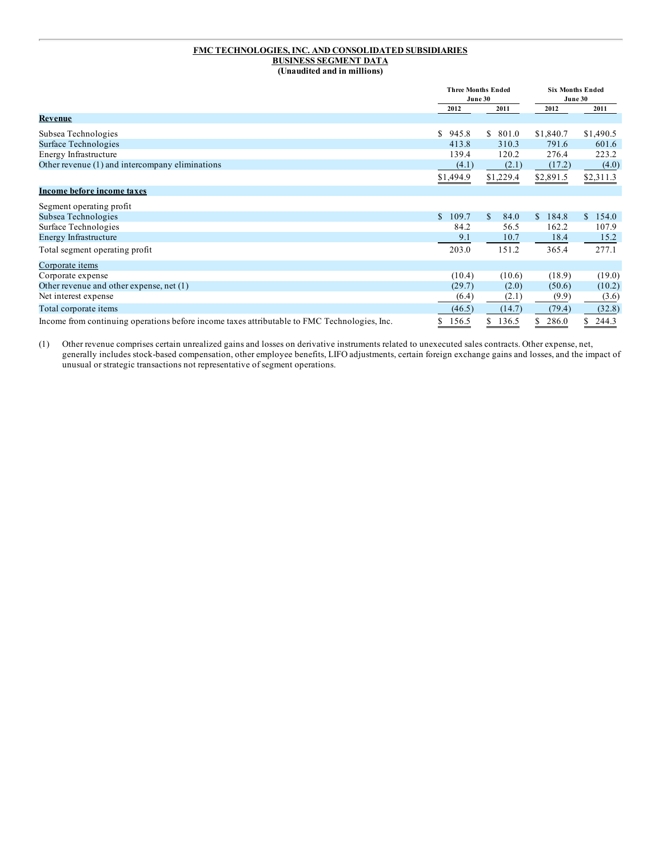#### **FMC TECHNOLOGIES, INC. AND CONSOLIDATED SUBSIDIARIES BUSINESS SEGMENT DATA (Unaudited and in millions)**

|                                                                                              | <b>Three Months Ended</b><br>June 30 |                       | <b>Six Months Ended</b><br>June 30 |                        |
|----------------------------------------------------------------------------------------------|--------------------------------------|-----------------------|------------------------------------|------------------------|
|                                                                                              | 2012                                 | 2011                  | 2012                               | 2011                   |
| <b>Revenue</b>                                                                               |                                      |                       |                                    |                        |
| Subsea Technologies                                                                          | S<br>945.8                           | S.<br>801.0           | \$1,840.7                          | \$1,490.5              |
| Surface Technologies                                                                         | 413.8                                | 310.3                 | 791.6                              | 601.6                  |
| Energy Infrastructure                                                                        | 139.4                                | 120.2                 | 276.4                              | 223.2                  |
| Other revenue (1) and intercompany eliminations                                              | (4.1)                                | (2.1)                 | (17.2)                             | (4.0)                  |
|                                                                                              | \$1,494.9                            | \$1,229.4             | \$2,891.5                          | \$2,311.3              |
| Income before income taxes                                                                   |                                      |                       |                                    |                        |
| Segment operating profit                                                                     |                                      |                       |                                    |                        |
| Subsea Technologies                                                                          | $\mathbb{S}$<br>109.7                | $\mathcal{S}$<br>84.0 | 184.8<br>\$.                       | 154.0<br><sup>\$</sup> |
| Surface Technologies                                                                         | 84.2                                 | 56.5                  | 162.2                              | 107.9                  |
| <b>Energy Infrastructure</b>                                                                 | 9.1                                  | 10.7                  | 18.4                               | 15.2                   |
| Total segment operating profit                                                               | 203.0                                | 151.2                 | 365.4                              | 277.1                  |
| Corporate items                                                                              |                                      |                       |                                    |                        |
| Corporate expense                                                                            | (10.4)                               | (10.6)                | (18.9)                             | (19.0)                 |
| Other revenue and other expense, net (1)                                                     | (29.7)                               | (2.0)                 | (50.6)                             | (10.2)                 |
| Net interest expense                                                                         | (6.4)                                | (2.1)                 | (9.9)                              | (3.6)                  |
| Total corporate items                                                                        | (46.5)                               | (14.7)                | (79.4)                             | (32.8)                 |
| Income from continuing operations before income taxes attributable to FMC Technologies, Inc. | \$<br>156.5                          | \$<br>136.5           | 286.0                              | 244.3<br>S.            |

(1) Other revenue comprises certain unrealized gains and losses on derivative instruments related to unexecuted sales contracts. Other expense, net, generally includes stock-based compensation, other employee benefits, LIFO adjustments, certain foreign exchange gains and losses, and the impact of unusual or strategic transactions not representative of segment operations.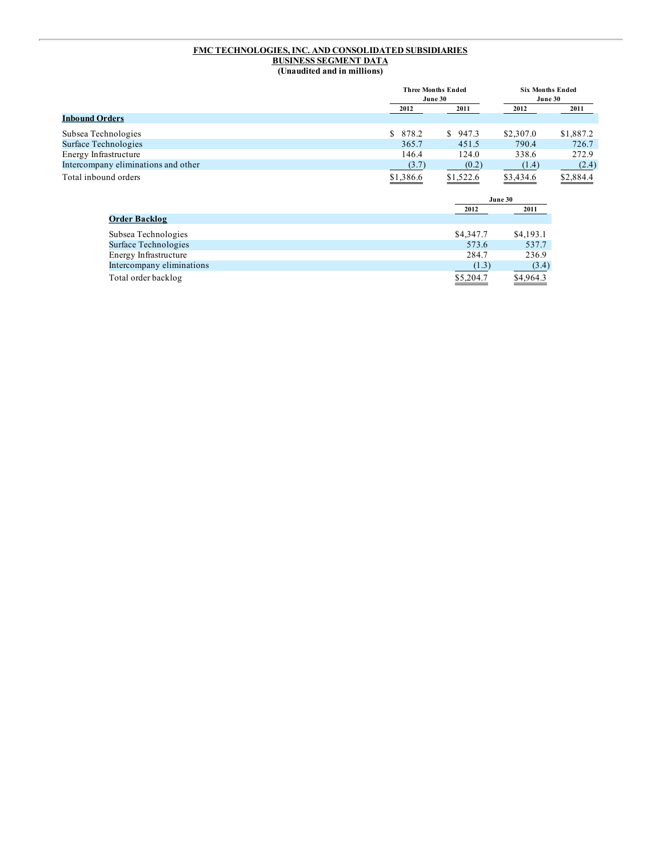#### **FMC TECHNOLOGIES, INC. AND CONSOLIDATED SUBSIDIARIES BUSINESS SEGMENT DATA (Unaudited and in millions)**

|                                     |           | <b>Three Months Ended</b><br>June 30 |           | <b>Six Months Ended</b><br>June 30 |  |
|-------------------------------------|-----------|--------------------------------------|-----------|------------------------------------|--|
|                                     | 2012      | 2011                                 | 2012      | 2011                               |  |
| <b>Inbound Orders</b>               |           |                                      |           |                                    |  |
| Subsea Technologies                 | \$ 878.2  | \$947.3                              | \$2,307.0 | \$1,887.2                          |  |
| Surface Technologies                | 365.7     | 451.5                                | 790.4     | 726.7                              |  |
| Energy Infrastructure               | 146.4     | 124.0                                | 338.6     | 272.9                              |  |
| Intercompany eliminations and other | (3.7)     | (0.2)                                | (1.4)     | (2.4)                              |  |
| Total inbound orders                | \$1,386.6 | \$1,522.6                            | \$3,434.6 | \$2,884.4                          |  |
|                                     |           |                                      | June 30   |                                    |  |

|                           | 2012      | 2011      |
|---------------------------|-----------|-----------|
| <b>Order Backlog</b>      |           |           |
| Subsea Technologies       | \$4,347.7 | \$4,193.1 |
| Surface Technologies      | 573.6     | 537.7     |
| Energy Infrastructure     | 284.7     | 236.9     |
| Intercompany eliminations | (1.3)     | (3.4)     |
| Total order backlog       | \$5,204.7 | \$4,964.3 |
|                           |           |           |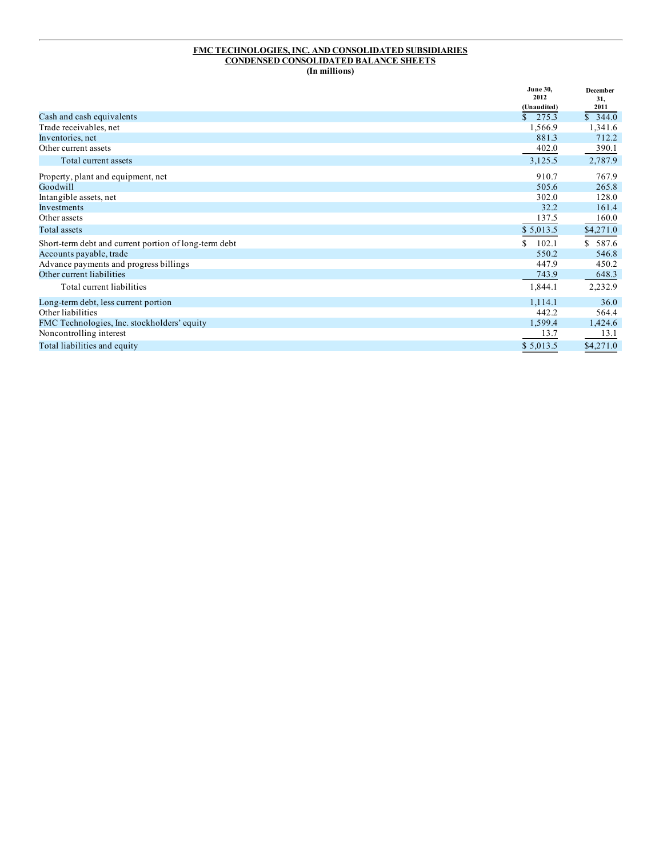#### **FMC TECHNOLOGIES, INC. AND CONSOLIDATED SUBSIDIARIES CONDENSED CONSOLIDATED BALANCE SHEETS (In millions)**

|                                                       | <b>June 30.</b><br>2012 | December<br>31, |
|-------------------------------------------------------|-------------------------|-----------------|
|                                                       | (Unaudited)             | 2011            |
| Cash and cash equivalents                             | \$275.3                 | \$344.0         |
| Trade receivables, net                                | 1,566.9                 | 1,341.6         |
| Inventories, net                                      | 881.3                   | 712.2           |
| Other current assets                                  | 402.0                   | 390.1           |
| Total current assets                                  | 3,125.5                 | 2,787.9         |
| Property, plant and equipment, net                    | 910.7                   | 767.9           |
| Goodwill                                              | 505.6                   | 265.8           |
| Intangible assets, net                                | 302.0                   | 128.0           |
| Investments                                           | 32.2                    | 161.4           |
| Other assets                                          | 137.5                   | 160.0           |
| Total assets                                          | \$5,013.5               | \$4,271.0       |
| Short-term debt and current portion of long-term debt | 102.1<br>S.             | \$587.6         |
| Accounts payable, trade                               | 550.2                   | 546.8           |
| Advance payments and progress billings                | 447.9                   | 450.2           |
| Other current liabilities                             | 743.9                   | 648.3           |
| Total current liabilities                             | 1,844.1                 | 2,232.9         |
| Long-term debt, less current portion                  | 1,114.1                 | 36.0            |
| Other liabilities                                     | 442.2                   | 564.4           |
| FMC Technologies, Inc. stockholders' equity           | 1,599.4                 | 1,424.6         |
| Noncontrolling interest                               | 13.7                    | 13.1            |
| Total liabilities and equity                          | \$5,013.5               | \$4,271.0       |